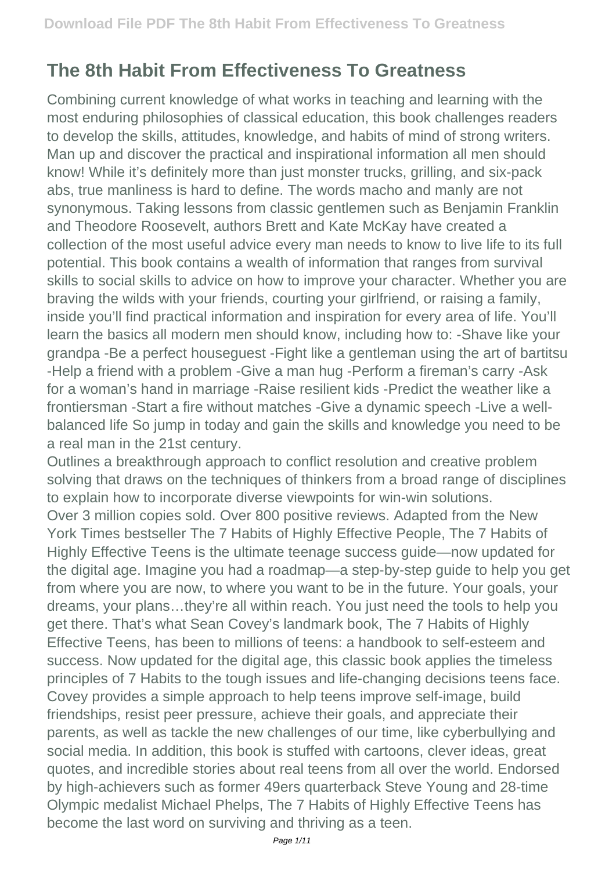## **The 8th Habit From Effectiveness To Greatness**

Combining current knowledge of what works in teaching and learning with the most enduring philosophies of classical education, this book challenges readers to develop the skills, attitudes, knowledge, and habits of mind of strong writers. Man up and discover the practical and inspirational information all men should know! While it's definitely more than just monster trucks, grilling, and six-pack abs, true manliness is hard to define. The words macho and manly are not synonymous. Taking lessons from classic gentlemen such as Benjamin Franklin and Theodore Roosevelt, authors Brett and Kate McKay have created a collection of the most useful advice every man needs to know to live life to its full potential. This book contains a wealth of information that ranges from survival skills to social skills to advice on how to improve your character. Whether you are braving the wilds with your friends, courting your girlfriend, or raising a family, inside you'll find practical information and inspiration for every area of life. You'll learn the basics all modern men should know, including how to: -Shave like your grandpa -Be a perfect houseguest -Fight like a gentleman using the art of bartitsu -Help a friend with a problem -Give a man hug -Perform a fireman's carry -Ask for a woman's hand in marriage -Raise resilient kids -Predict the weather like a frontiersman -Start a fire without matches -Give a dynamic speech -Live a wellbalanced life So jump in today and gain the skills and knowledge you need to be a real man in the 21st century.

Outlines a breakthrough approach to conflict resolution and creative problem solving that draws on the techniques of thinkers from a broad range of disciplines to explain how to incorporate diverse viewpoints for win-win solutions. Over 3 million copies sold. Over 800 positive reviews. Adapted from the New York Times bestseller The 7 Habits of Highly Effective People, The 7 Habits of Highly Effective Teens is the ultimate teenage success guide—now updated for the digital age. Imagine you had a roadmap—a step-by-step guide to help you get from where you are now, to where you want to be in the future. Your goals, your dreams, your plans…they're all within reach. You just need the tools to help you get there. That's what Sean Covey's landmark book, The 7 Habits of Highly Effective Teens, has been to millions of teens: a handbook to self-esteem and success. Now updated for the digital age, this classic book applies the timeless principles of 7 Habits to the tough issues and life-changing decisions teens face. Covey provides a simple approach to help teens improve self-image, build friendships, resist peer pressure, achieve their goals, and appreciate their parents, as well as tackle the new challenges of our time, like cyberbullying and social media. In addition, this book is stuffed with cartoons, clever ideas, great quotes, and incredible stories about real teens from all over the world. Endorsed by high-achievers such as former 49ers quarterback Steve Young and 28-time Olympic medalist Michael Phelps, The 7 Habits of Highly Effective Teens has become the last word on surviving and thriving as a teen.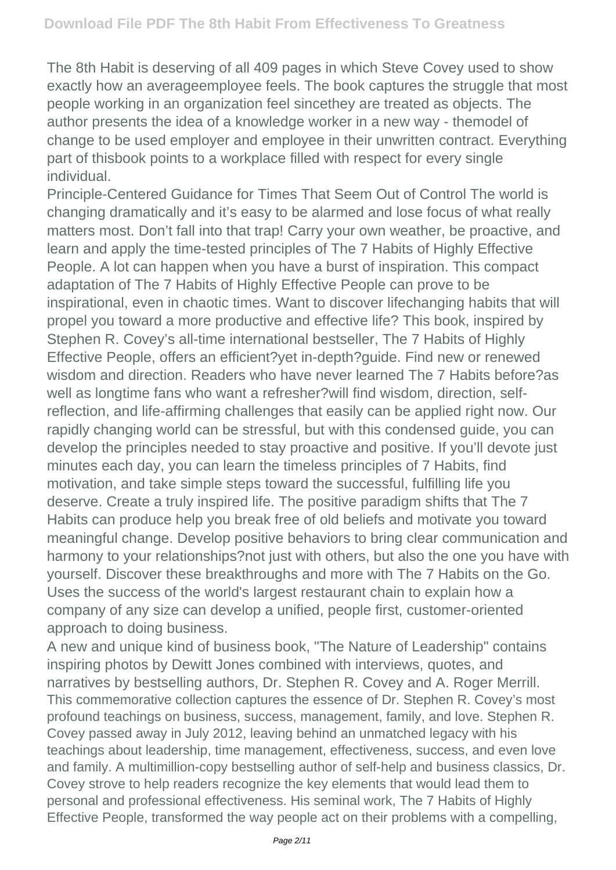The 8th Habit is deserving of all 409 pages in which Steve Covey used to show exactly how an averageemployee feels. The book captures the struggle that most people working in an organization feel sincethey are treated as objects. The author presents the idea of a knowledge worker in a new way - themodel of change to be used employer and employee in their unwritten contract. Everything part of thisbook points to a workplace filled with respect for every single individual.

Principle-Centered Guidance for Times That Seem Out of Control The world is changing dramatically and it's easy to be alarmed and lose focus of what really matters most. Don't fall into that trap! Carry your own weather, be proactive, and learn and apply the time-tested principles of The 7 Habits of Highly Effective People. A lot can happen when you have a burst of inspiration. This compact adaptation of The 7 Habits of Highly Effective People can prove to be inspirational, even in chaotic times. Want to discover lifechanging habits that will propel you toward a more productive and effective life? This book, inspired by Stephen R. Covey's all-time international bestseller, The 7 Habits of Highly Effective People, offers an efficient?yet in-depth?guide. Find new or renewed wisdom and direction. Readers who have never learned The 7 Habits before?as well as longtime fans who want a refresher?will find wisdom, direction, selfreflection, and life-affirming challenges that easily can be applied right now. Our rapidly changing world can be stressful, but with this condensed guide, you can develop the principles needed to stay proactive and positive. If you'll devote just minutes each day, you can learn the timeless principles of 7 Habits, find motivation, and take simple steps toward the successful, fulfilling life you deserve. Create a truly inspired life. The positive paradigm shifts that The 7 Habits can produce help you break free of old beliefs and motivate you toward meaningful change. Develop positive behaviors to bring clear communication and harmony to your relationships?not just with others, but also the one you have with yourself. Discover these breakthroughs and more with The 7 Habits on the Go. Uses the success of the world's largest restaurant chain to explain how a company of any size can develop a unified, people first, customer-oriented approach to doing business.

A new and unique kind of business book, "The Nature of Leadership" contains inspiring photos by Dewitt Jones combined with interviews, quotes, and narratives by bestselling authors, Dr. Stephen R. Covey and A. Roger Merrill. This commemorative collection captures the essence of Dr. Stephen R. Covey's most profound teachings on business, success, management, family, and love. Stephen R. Covey passed away in July 2012, leaving behind an unmatched legacy with his teachings about leadership, time management, effectiveness, success, and even love and family. A multimillion-copy bestselling author of self-help and business classics, Dr. Covey strove to help readers recognize the key elements that would lead them to personal and professional effectiveness. His seminal work, The 7 Habits of Highly Effective People, transformed the way people act on their problems with a compelling,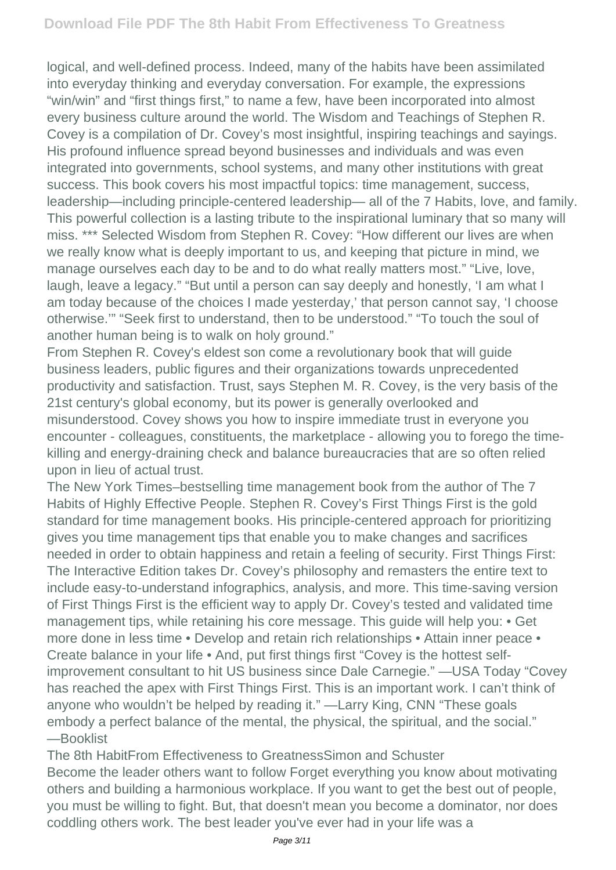logical, and well-defined process. Indeed, many of the habits have been assimilated into everyday thinking and everyday conversation. For example, the expressions "win/win" and "first things first," to name a few, have been incorporated into almost every business culture around the world. The Wisdom and Teachings of Stephen R. Covey is a compilation of Dr. Covey's most insightful, inspiring teachings and sayings. His profound influence spread beyond businesses and individuals and was even integrated into governments, school systems, and many other institutions with great success. This book covers his most impactful topics: time management, success, leadership—including principle-centered leadership— all of the 7 Habits, love, and family. This powerful collection is a lasting tribute to the inspirational luminary that so many will miss. \*\*\* Selected Wisdom from Stephen R. Covey: "How different our lives are when we really know what is deeply important to us, and keeping that picture in mind, we manage ourselves each day to be and to do what really matters most." "Live, love, laugh, leave a legacy." "But until a person can say deeply and honestly, 'I am what I am today because of the choices I made yesterday,' that person cannot say, 'I choose otherwise.'" "Seek first to understand, then to be understood." "To touch the soul of another human being is to walk on holy ground."

From Stephen R. Covey's eldest son come a revolutionary book that will guide business leaders, public figures and their organizations towards unprecedented productivity and satisfaction. Trust, says Stephen M. R. Covey, is the very basis of the 21st century's global economy, but its power is generally overlooked and misunderstood. Covey shows you how to inspire immediate trust in everyone you encounter - colleagues, constituents, the marketplace - allowing you to forego the timekilling and energy-draining check and balance bureaucracies that are so often relied upon in lieu of actual trust.

The New York Times–bestselling time management book from the author of The 7 Habits of Highly Effective People. Stephen R. Covey's First Things First is the gold standard for time management books. His principle-centered approach for prioritizing gives you time management tips that enable you to make changes and sacrifices needed in order to obtain happiness and retain a feeling of security. First Things First: The Interactive Edition takes Dr. Covey's philosophy and remasters the entire text to include easy-to-understand infographics, analysis, and more. This time-saving version of First Things First is the efficient way to apply Dr. Covey's tested and validated time management tips, while retaining his core message. This guide will help you: • Get more done in less time • Develop and retain rich relationships • Attain inner peace • Create balance in your life • And, put first things first "Covey is the hottest selfimprovement consultant to hit US business since Dale Carnegie." —USA Today "Covey has reached the apex with First Things First. This is an important work. I can't think of anyone who wouldn't be helped by reading it." —Larry King, CNN "These goals embody a perfect balance of the mental, the physical, the spiritual, and the social." —Booklist

The 8th HabitFrom Effectiveness to GreatnessSimon and Schuster Become the leader others want to follow Forget everything you know about motivating others and building a harmonious workplace. If you want to get the best out of people, you must be willing to fight. But, that doesn't mean you become a dominator, nor does coddling others work. The best leader you've ever had in your life was a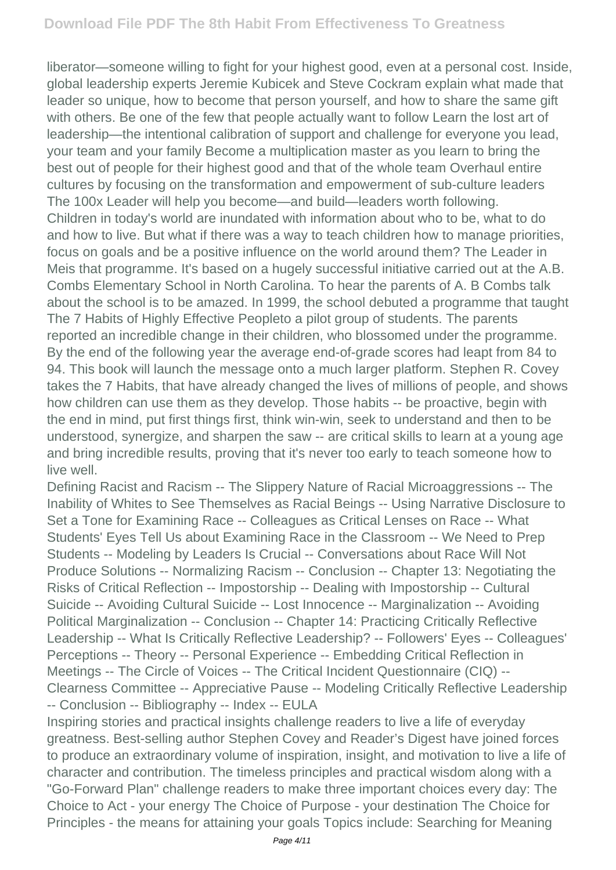liberator—someone willing to fight for your highest good, even at a personal cost. Inside, global leadership experts Jeremie Kubicek and Steve Cockram explain what made that leader so unique, how to become that person yourself, and how to share the same gift with others. Be one of the few that people actually want to follow Learn the lost art of leadership—the intentional calibration of support and challenge for everyone you lead, your team and your family Become a multiplication master as you learn to bring the best out of people for their highest good and that of the whole team Overhaul entire cultures by focusing on the transformation and empowerment of sub-culture leaders The 100x Leader will help you become—and build—leaders worth following. Children in today's world are inundated with information about who to be, what to do and how to live. But what if there was a way to teach children how to manage priorities, focus on goals and be a positive influence on the world around them? The Leader in Meis that programme. It's based on a hugely successful initiative carried out at the A.B. Combs Elementary School in North Carolina. To hear the parents of A. B Combs talk about the school is to be amazed. In 1999, the school debuted a programme that taught The 7 Habits of Highly Effective Peopleto a pilot group of students. The parents reported an incredible change in their children, who blossomed under the programme. By the end of the following year the average end-of-grade scores had leapt from 84 to 94. This book will launch the message onto a much larger platform. Stephen R. Covey takes the 7 Habits, that have already changed the lives of millions of people, and shows how children can use them as they develop. Those habits -- be proactive, begin with the end in mind, put first things first, think win-win, seek to understand and then to be understood, synergize, and sharpen the saw -- are critical skills to learn at a young age and bring incredible results, proving that it's never too early to teach someone how to live well.

Defining Racist and Racism -- The Slippery Nature of Racial Microaggressions -- The Inability of Whites to See Themselves as Racial Beings -- Using Narrative Disclosure to Set a Tone for Examining Race -- Colleagues as Critical Lenses on Race -- What Students' Eyes Tell Us about Examining Race in the Classroom -- We Need to Prep Students -- Modeling by Leaders Is Crucial -- Conversations about Race Will Not Produce Solutions -- Normalizing Racism -- Conclusion -- Chapter 13: Negotiating the Risks of Critical Reflection -- Impostorship -- Dealing with Impostorship -- Cultural Suicide -- Avoiding Cultural Suicide -- Lost Innocence -- Marginalization -- Avoiding Political Marginalization -- Conclusion -- Chapter 14: Practicing Critically Reflective Leadership -- What Is Critically Reflective Leadership? -- Followers' Eyes -- Colleagues' Perceptions -- Theory -- Personal Experience -- Embedding Critical Reflection in Meetings -- The Circle of Voices -- The Critical Incident Questionnaire (CIQ) -- Clearness Committee -- Appreciative Pause -- Modeling Critically Reflective Leadership -- Conclusion -- Bibliography -- Index -- EULA

Inspiring stories and practical insights challenge readers to live a life of everyday greatness. Best-selling author Stephen Covey and Reader's Digest have joined forces to produce an extraordinary volume of inspiration, insight, and motivation to live a life of character and contribution. The timeless principles and practical wisdom along with a "Go-Forward Plan" challenge readers to make three important choices every day: The Choice to Act - your energy The Choice of Purpose - your destination The Choice for Principles - the means for attaining your goals Topics include: Searching for Meaning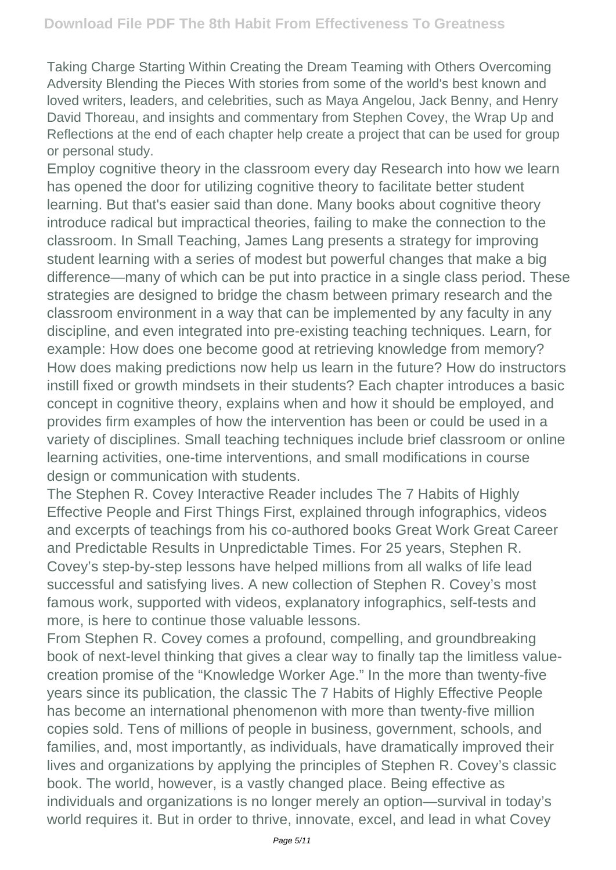Taking Charge Starting Within Creating the Dream Teaming with Others Overcoming Adversity Blending the Pieces With stories from some of the world's best known and loved writers, leaders, and celebrities, such as Maya Angelou, Jack Benny, and Henry David Thoreau, and insights and commentary from Stephen Covey, the Wrap Up and Reflections at the end of each chapter help create a project that can be used for group or personal study.

Employ cognitive theory in the classroom every day Research into how we learn has opened the door for utilizing cognitive theory to facilitate better student learning. But that's easier said than done. Many books about cognitive theory introduce radical but impractical theories, failing to make the connection to the classroom. In Small Teaching, James Lang presents a strategy for improving student learning with a series of modest but powerful changes that make a big difference—many of which can be put into practice in a single class period. These strategies are designed to bridge the chasm between primary research and the classroom environment in a way that can be implemented by any faculty in any discipline, and even integrated into pre-existing teaching techniques. Learn, for example: How does one become good at retrieving knowledge from memory? How does making predictions now help us learn in the future? How do instructors instill fixed or growth mindsets in their students? Each chapter introduces a basic concept in cognitive theory, explains when and how it should be employed, and provides firm examples of how the intervention has been or could be used in a variety of disciplines. Small teaching techniques include brief classroom or online learning activities, one-time interventions, and small modifications in course design or communication with students.

The Stephen R. Covey Interactive Reader includes The 7 Habits of Highly Effective People and First Things First, explained through infographics, videos and excerpts of teachings from his co-authored books Great Work Great Career and Predictable Results in Unpredictable Times. For 25 years, Stephen R. Covey's step-by-step lessons have helped millions from all walks of life lead successful and satisfying lives. A new collection of Stephen R. Covey's most famous work, supported with videos, explanatory infographics, self-tests and more, is here to continue those valuable lessons.

From Stephen R. Covey comes a profound, compelling, and groundbreaking book of next-level thinking that gives a clear way to finally tap the limitless valuecreation promise of the "Knowledge Worker Age." In the more than twenty-five years since its publication, the classic The 7 Habits of Highly Effective People has become an international phenomenon with more than twenty-five million copies sold. Tens of millions of people in business, government, schools, and families, and, most importantly, as individuals, have dramatically improved their lives and organizations by applying the principles of Stephen R. Covey's classic book. The world, however, is a vastly changed place. Being effective as individuals and organizations is no longer merely an option—survival in today's world requires it. But in order to thrive, innovate, excel, and lead in what Covey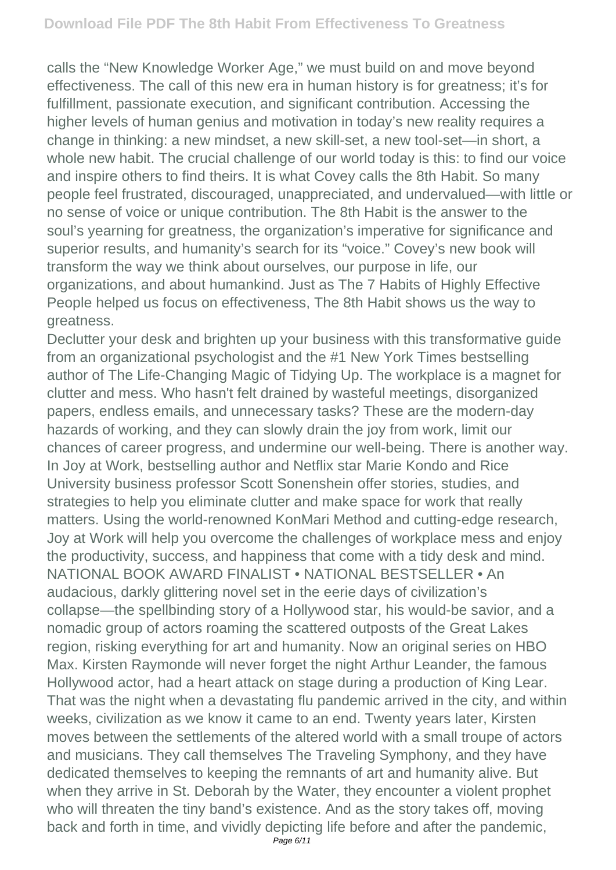calls the "New Knowledge Worker Age," we must build on and move beyond effectiveness. The call of this new era in human history is for greatness; it's for fulfillment, passionate execution, and significant contribution. Accessing the higher levels of human genius and motivation in today's new reality requires a change in thinking: a new mindset, a new skill-set, a new tool-set—in short, a whole new habit. The crucial challenge of our world today is this: to find our voice and inspire others to find theirs. It is what Covey calls the 8th Habit. So many people feel frustrated, discouraged, unappreciated, and undervalued—with little or no sense of voice or unique contribution. The 8th Habit is the answer to the soul's yearning for greatness, the organization's imperative for significance and superior results, and humanity's search for its "voice." Covey's new book will transform the way we think about ourselves, our purpose in life, our organizations, and about humankind. Just as The 7 Habits of Highly Effective People helped us focus on effectiveness, The 8th Habit shows us the way to greatness.

Declutter your desk and brighten up your business with this transformative guide from an organizational psychologist and the #1 New York Times bestselling author of The Life-Changing Magic of Tidying Up. The workplace is a magnet for clutter and mess. Who hasn't felt drained by wasteful meetings, disorganized papers, endless emails, and unnecessary tasks? These are the modern-day hazards of working, and they can slowly drain the joy from work, limit our chances of career progress, and undermine our well-being. There is another way. In Joy at Work, bestselling author and Netflix star Marie Kondo and Rice University business professor Scott Sonenshein offer stories, studies, and strategies to help you eliminate clutter and make space for work that really matters. Using the world-renowned KonMari Method and cutting-edge research, Joy at Work will help you overcome the challenges of workplace mess and enjoy the productivity, success, and happiness that come with a tidy desk and mind. NATIONAL BOOK AWARD FINALIST • NATIONAL BESTSELLER • An audacious, darkly glittering novel set in the eerie days of civilization's collapse—the spellbinding story of a Hollywood star, his would-be savior, and a nomadic group of actors roaming the scattered outposts of the Great Lakes region, risking everything for art and humanity. Now an original series on HBO Max. Kirsten Raymonde will never forget the night Arthur Leander, the famous Hollywood actor, had a heart attack on stage during a production of King Lear. That was the night when a devastating flu pandemic arrived in the city, and within weeks, civilization as we know it came to an end. Twenty years later, Kirsten moves between the settlements of the altered world with a small troupe of actors and musicians. They call themselves The Traveling Symphony, and they have dedicated themselves to keeping the remnants of art and humanity alive. But when they arrive in St. Deborah by the Water, they encounter a violent prophet who will threaten the tiny band's existence. And as the story takes off, moving back and forth in time, and vividly depicting life before and after the pandemic,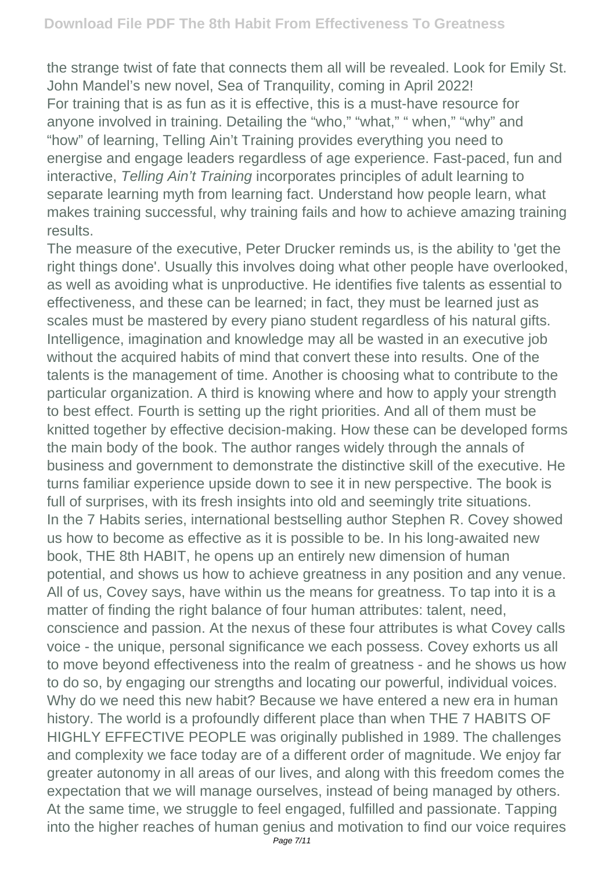the strange twist of fate that connects them all will be revealed. Look for Emily St. John Mandel's new novel, Sea of Tranquility, coming in April 2022! For training that is as fun as it is effective, this is a must-have resource for anyone involved in training. Detailing the "who," "what," " when," "why" and "how" of learning, Telling Ain't Training provides everything you need to energise and engage leaders regardless of age experience. Fast-paced, fun and interactive, Telling Ain't Training incorporates principles of adult learning to separate learning myth from learning fact. Understand how people learn, what makes training successful, why training fails and how to achieve amazing training results.

The measure of the executive, Peter Drucker reminds us, is the ability to 'get the right things done'. Usually this involves doing what other people have overlooked, as well as avoiding what is unproductive. He identifies five talents as essential to effectiveness, and these can be learned; in fact, they must be learned just as scales must be mastered by every piano student regardless of his natural gifts. Intelligence, imagination and knowledge may all be wasted in an executive job without the acquired habits of mind that convert these into results. One of the talents is the management of time. Another is choosing what to contribute to the particular organization. A third is knowing where and how to apply your strength to best effect. Fourth is setting up the right priorities. And all of them must be knitted together by effective decision-making. How these can be developed forms the main body of the book. The author ranges widely through the annals of business and government to demonstrate the distinctive skill of the executive. He turns familiar experience upside down to see it in new perspective. The book is full of surprises, with its fresh insights into old and seemingly trite situations. In the 7 Habits series, international bestselling author Stephen R. Covey showed us how to become as effective as it is possible to be. In his long-awaited new book, THE 8th HABIT, he opens up an entirely new dimension of human potential, and shows us how to achieve greatness in any position and any venue. All of us, Covey says, have within us the means for greatness. To tap into it is a matter of finding the right balance of four human attributes: talent, need, conscience and passion. At the nexus of these four attributes is what Covey calls voice - the unique, personal significance we each possess. Covey exhorts us all to move beyond effectiveness into the realm of greatness - and he shows us how to do so, by engaging our strengths and locating our powerful, individual voices. Why do we need this new habit? Because we have entered a new era in human history. The world is a profoundly different place than when THE 7 HABITS OF HIGHLY EFFECTIVE PEOPLE was originally published in 1989. The challenges and complexity we face today are of a different order of magnitude. We enjoy far greater autonomy in all areas of our lives, and along with this freedom comes the expectation that we will manage ourselves, instead of being managed by others. At the same time, we struggle to feel engaged, fulfilled and passionate. Tapping into the higher reaches of human genius and motivation to find our voice requires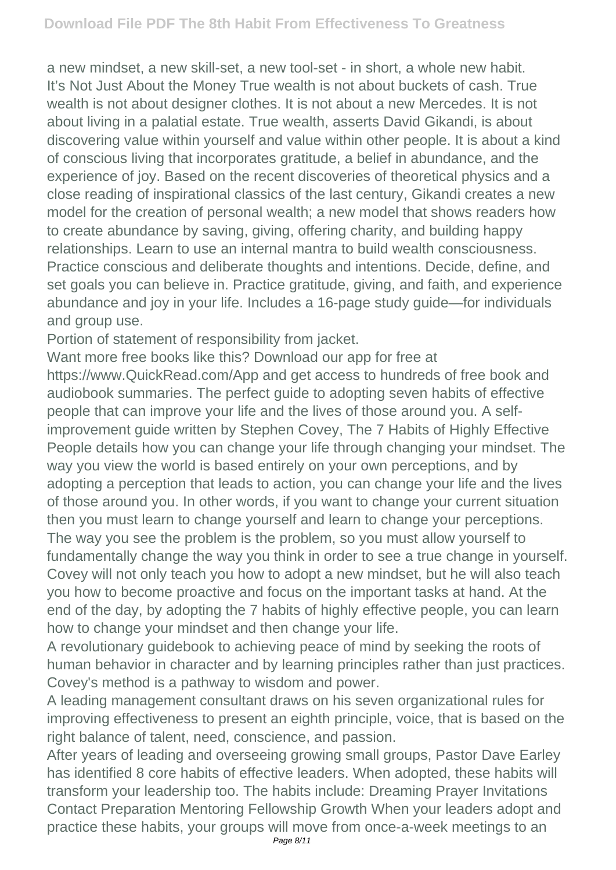a new mindset, a new skill-set, a new tool-set - in short, a whole new habit. It's Not Just About the Money True wealth is not about buckets of cash. True wealth is not about designer clothes. It is not about a new Mercedes. It is not about living in a palatial estate. True wealth, asserts David Gikandi, is about discovering value within yourself and value within other people. It is about a kind of conscious living that incorporates gratitude, a belief in abundance, and the experience of joy. Based on the recent discoveries of theoretical physics and a close reading of inspirational classics of the last century, Gikandi creates a new model for the creation of personal wealth; a new model that shows readers how to create abundance by saving, giving, offering charity, and building happy relationships. Learn to use an internal mantra to build wealth consciousness. Practice conscious and deliberate thoughts and intentions. Decide, define, and set goals you can believe in. Practice gratitude, giving, and faith, and experience abundance and joy in your life. Includes a 16-page study guide—for individuals and group use.

Portion of statement of responsibility from jacket.

Want more free books like this? Download our app for free at https://www.QuickRead.com/App and get access to hundreds of free book and audiobook summaries. The perfect guide to adopting seven habits of effective people that can improve your life and the lives of those around you. A selfimprovement guide written by Stephen Covey, The 7 Habits of Highly Effective People details how you can change your life through changing your mindset. The way you view the world is based entirely on your own perceptions, and by adopting a perception that leads to action, you can change your life and the lives of those around you. In other words, if you want to change your current situation then you must learn to change yourself and learn to change your perceptions. The way you see the problem is the problem, so you must allow yourself to fundamentally change the way you think in order to see a true change in yourself. Covey will not only teach you how to adopt a new mindset, but he will also teach you how to become proactive and focus on the important tasks at hand. At the end of the day, by adopting the 7 habits of highly effective people, you can learn how to change your mindset and then change your life.

A revolutionary guidebook to achieving peace of mind by seeking the roots of human behavior in character and by learning principles rather than just practices. Covey's method is a pathway to wisdom and power.

A leading management consultant draws on his seven organizational rules for improving effectiveness to present an eighth principle, voice, that is based on the right balance of talent, need, conscience, and passion.

After years of leading and overseeing growing small groups, Pastor Dave Earley has identified 8 core habits of effective leaders. When adopted, these habits will transform your leadership too. The habits include: Dreaming Prayer Invitations Contact Preparation Mentoring Fellowship Growth When your leaders adopt and practice these habits, your groups will move from once-a-week meetings to an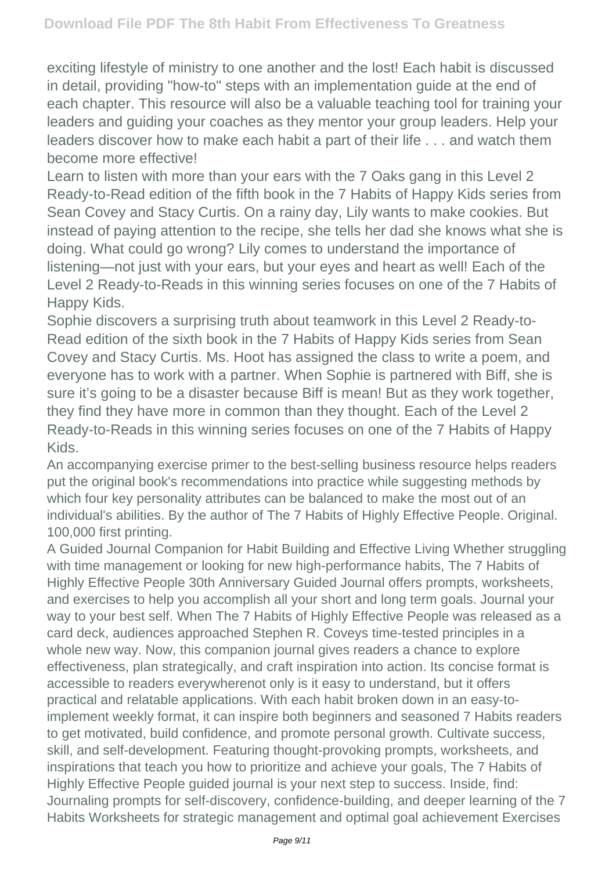exciting lifestyle of ministry to one another and the lost! Each habit is discussed in detail, providing "how-to" steps with an implementation guide at the end of each chapter. This resource will also be a valuable teaching tool for training your leaders and guiding your coaches as they mentor your group leaders. Help your leaders discover how to make each habit a part of their life . . . and watch them become more effective!

Learn to listen with more than your ears with the 7 Oaks gang in this Level 2 Ready-to-Read edition of the fifth book in the 7 Habits of Happy Kids series from Sean Covey and Stacy Curtis. On a rainy day, Lily wants to make cookies. But instead of paying attention to the recipe, she tells her dad she knows what she is doing. What could go wrong? Lily comes to understand the importance of listening—not just with your ears, but your eyes and heart as well! Each of the Level 2 Ready-to-Reads in this winning series focuses on one of the 7 Habits of Happy Kids.

Sophie discovers a surprising truth about teamwork in this Level 2 Ready-to-Read edition of the sixth book in the 7 Habits of Happy Kids series from Sean Covey and Stacy Curtis. Ms. Hoot has assigned the class to write a poem, and everyone has to work with a partner. When Sophie is partnered with Biff, she is sure it's going to be a disaster because Biff is mean! But as they work together, they find they have more in common than they thought. Each of the Level 2 Ready-to-Reads in this winning series focuses on one of the 7 Habits of Happy Kids.

An accompanying exercise primer to the best-selling business resource helps readers put the original book's recommendations into practice while suggesting methods by which four key personality attributes can be balanced to make the most out of an individual's abilities. By the author of The 7 Habits of Highly Effective People. Original. 100,000 first printing.

A Guided Journal Companion for Habit Building and Effective Living Whether struggling with time management or looking for new high-performance habits, The 7 Habits of Highly Effective People 30th Anniversary Guided Journal offers prompts, worksheets, and exercises to help you accomplish all your short and long term goals. Journal your way to your best self. When The 7 Habits of Highly Effective People was released as a card deck, audiences approached Stephen R. Coveys time-tested principles in a whole new way. Now, this companion journal gives readers a chance to explore effectiveness, plan strategically, and craft inspiration into action. Its concise format is accessible to readers everywherenot only is it easy to understand, but it offers practical and relatable applications. With each habit broken down in an easy-toimplement weekly format, it can inspire both beginners and seasoned 7 Habits readers to get motivated, build confidence, and promote personal growth. Cultivate success, skill, and self-development. Featuring thought-provoking prompts, worksheets, and inspirations that teach you how to prioritize and achieve your goals, The 7 Habits of Highly Effective People guided journal is your next step to success. Inside, find: Journaling prompts for self-discovery, confidence-building, and deeper learning of the 7 Habits Worksheets for strategic management and optimal goal achievement Exercises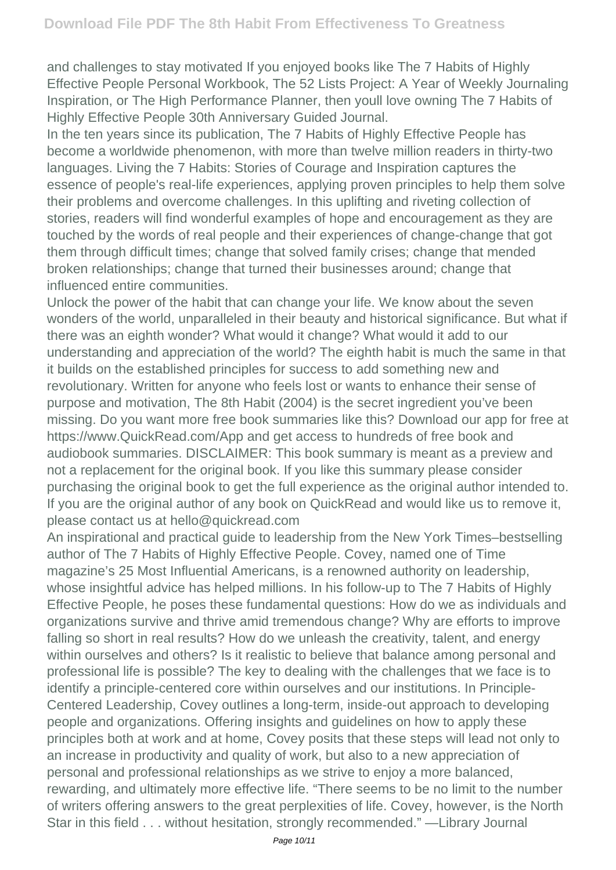and challenges to stay motivated If you enjoyed books like The 7 Habits of Highly Effective People Personal Workbook, The 52 Lists Project: A Year of Weekly Journaling Inspiration, or The High Performance Planner, then youll love owning The 7 Habits of Highly Effective People 30th Anniversary Guided Journal.

In the ten years since its publication, The 7 Habits of Highly Effective People has become a worldwide phenomenon, with more than twelve million readers in thirty-two languages. Living the 7 Habits: Stories of Courage and Inspiration captures the essence of people's real-life experiences, applying proven principles to help them solve their problems and overcome challenges. In this uplifting and riveting collection of stories, readers will find wonderful examples of hope and encouragement as they are touched by the words of real people and their experiences of change-change that got them through difficult times; change that solved family crises; change that mended broken relationships; change that turned their businesses around; change that influenced entire communities.

Unlock the power of the habit that can change your life. We know about the seven wonders of the world, unparalleled in their beauty and historical significance. But what if there was an eighth wonder? What would it change? What would it add to our understanding and appreciation of the world? The eighth habit is much the same in that it builds on the established principles for success to add something new and revolutionary. Written for anyone who feels lost or wants to enhance their sense of purpose and motivation, The 8th Habit (2004) is the secret ingredient you've been missing. Do you want more free book summaries like this? Download our app for free at https://www.QuickRead.com/App and get access to hundreds of free book and audiobook summaries. DISCLAIMER: This book summary is meant as a preview and not a replacement for the original book. If you like this summary please consider purchasing the original book to get the full experience as the original author intended to. If you are the original author of any book on QuickRead and would like us to remove it, please contact us at hello@quickread.com

An inspirational and practical guide to leadership from the New York Times–bestselling author of The 7 Habits of Highly Effective People. Covey, named one of Time magazine's 25 Most Influential Americans, is a renowned authority on leadership, whose insightful advice has helped millions. In his follow-up to The 7 Habits of Highly Effective People, he poses these fundamental questions: How do we as individuals and organizations survive and thrive amid tremendous change? Why are efforts to improve falling so short in real results? How do we unleash the creativity, talent, and energy within ourselves and others? Is it realistic to believe that balance among personal and professional life is possible? The key to dealing with the challenges that we face is to identify a principle-centered core within ourselves and our institutions. In Principle-Centered Leadership, Covey outlines a long-term, inside-out approach to developing people and organizations. Offering insights and guidelines on how to apply these principles both at work and at home, Covey posits that these steps will lead not only to an increase in productivity and quality of work, but also to a new appreciation of personal and professional relationships as we strive to enjoy a more balanced, rewarding, and ultimately more effective life. "There seems to be no limit to the number of writers offering answers to the great perplexities of life. Covey, however, is the North Star in this field . . . without hesitation, strongly recommended." —Library Journal